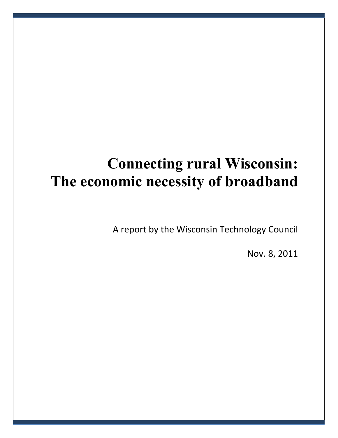# **Connecting rural Wisconsin: The economic necessity of broadband**

A report by the Wisconsin Technology Council

Nov. 8, 2011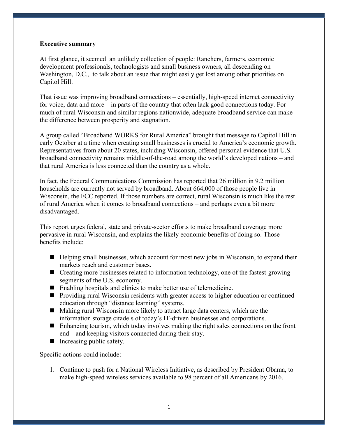### **Executive summary**

At first glance, it seemed an unlikely collection of people: Ranchers, farmers, economic development professionals, technologists and small business owners, all descending on Washington, D.C., to talk about an issue that might easily get lost among other priorities on Capitol Hill.

That issue was improving broadband connections – essentially, high-speed internet connectivity for voice, data and more – in parts of the country that often lack good connections today. For much of rural Wisconsin and similar regions nationwide, adequate broadband service can make the difference between prosperity and stagnation.

A group called "Broadband WORKS for Rural America" brought that message to Capitol Hill in early October at a time when creating small businesses is crucial to America's economic growth. Representatives from about 20 states, including Wisconsin, offered personal evidence that U.S. broadband connectivity remains middle-of-the-road among the world's developed nations – and that rural America is less connected than the country as a whole.

In fact, the Federal Communications Commission has reported that 26 million in 9.2 million households are currently not served by broadband. About 664,000 of those people live in Wisconsin, the FCC reported. If those numbers are correct, rural Wisconsin is much like the rest of rural America when it comes to broadband connections – and perhaps even a bit more disadvantaged.

This report urges federal, state and private-sector efforts to make broadband coverage more pervasive in rural Wisconsin, and explains the likely economic benefits of doing so. Those benefits include:

- Helping small businesses, which account for most new jobs in Wisconsin, to expand their markets reach and customer bases.
- Creating more businesses related to information technology, one of the fastest-growing segments of the U.S. economy.
- Enabling hospitals and clinics to make better use of telemedicine.
- **Providing rural Wisconsin residents with greater access to higher education or continued** education through "distance learning" systems.
- Making rural Wisconsin more likely to attract large data centers, which are the information storage citadels of today's IT-driven businesses and corporations.
- $\blacksquare$  Enhancing tourism, which today involves making the right sales connections on the front end – and keeping visitors connected during their stay.
- $\blacksquare$  Increasing public safety.

Specific actions could include:

1. Continue to push for a National Wireless Initiative, as described by President Obama, to make high-speed wireless services available to 98 percent of all Americans by 2016.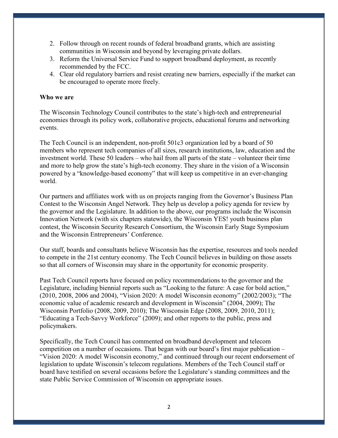- 2. Follow through on recent rounds of federal broadband grants, which are assisting communities in Wisconsin and beyond by leveraging private dollars.
- 3. Reform the Universal Service Fund to support broadband deployment, as recently recommended by the FCC.
- 4. Clear old regulatory barriers and resist creating new barriers, especially if the market can be encouraged to operate more freely.

## **Who we are**

The Wisconsin Technology Council contributes to the state's high-tech and entrepreneurial economies through its policy work, collaborative projects, educational forums and networking events.

The Tech Council is an independent, non-profit 501c3 organization led by a board of 50 members who represent tech companies of all sizes, research institutions, law, education and the investment world. These 50 leaders – who hail from all parts of the state – volunteer their time and more to help grow the state's high-tech economy. They share in the vision of a Wisconsin powered by a "knowledge-based economy" that will keep us competitive in an ever-changing world.

Our partners and affiliates work with us on projects ranging from the Governor's Business Plan Contest to the Wisconsin Angel Network. They help us develop a policy agenda for review by the governor and the Legislature. In addition to the above, our programs include the Wisconsin Innovation Network (with six chapters statewide), the Wisconsin YES! youth business plan contest, the Wisconsin Security Research Consortium, the Wisconsin Early Stage Symposium and the Wisconsin Entrepreneurs' Conference.

Our staff, boards and consultants believe Wisconsin has the expertise, resources and tools needed to compete in the 21st century economy. The Tech Council believes in building on those assets so that all corners of Wisconsin may share in the opportunity for economic prosperity.

Past Tech Council reports have focused on policy recommendations to the governor and the Legislature, including biennial reports such as "Looking to the future: A case for bold action," (2010, 2008, 2006 and 2004), "Vision 2020: A model Wisconsin economy" (2002/2003); "The economic value of academic research and development in Wisconsin" (2004, 2009); The Wisconsin Portfolio (2008, 2009, 2010); The Wisconsin Edge (2008, 2009, 2010, 2011); "Educating a Tech-Savvy Workforce" (2009); and other reports to the public, press and policymakers.

Specifically, the Tech Council has commented on broadband development and telecom competition on a number of occasions. That began with our board's first major publication – "Vision 2020: A model Wisconsin economy," and continued through our recent endorsement of legislation to update Wisconsin's telecom regulations. Members of the Tech Council staff or board have testified on several occasions before the Legislature's standing committees and the state Public Service Commission of Wisconsin on appropriate issues.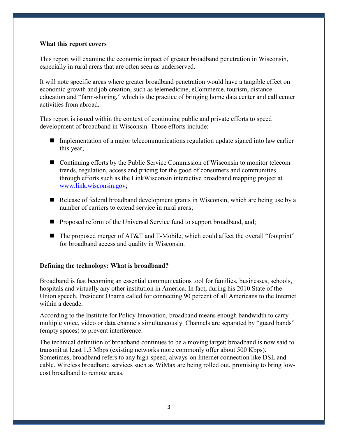### **What this report covers**

This report will examine the economic impact of greater broadband penetration in Wisconsin, especially in rural areas that are often seen as underserved.

It will note specific areas where greater broadband penetration would have a tangible effect on economic growth and job creation, such as telemedicine, eCommerce, tourism, distance education and "farm-shoring," which is the practice of bringing home data center and call center activities from abroad.

This report is issued within the context of continuing public and private efforts to speed development of broadband in Wisconsin. Those efforts include:

- **Implementation of a major telecommunications regulation update signed into law earlier** this year;
- Continuing efforts by the Public Service Commission of Wisconsin to monitor telecom trends, regulation, access and pricing for the good of consumers and communities through efforts such as the LinkWisconsin interactive broadband mapping project at [www.link.wisconsin.gov;](http://www.link.wisconsin.gov/)
- Release of federal broadband development grants in Wisconsin, which are being use by a number of carriers to extend service in rural areas;
- **Proposed reform of the Universal Service fund to support broadband, and;**
- $\blacksquare$  The proposed merger of AT&T and T-Mobile, which could affect the overall "footprint" for broadband access and quality in Wisconsin.

### **Defining the technology: What is broadband?**

Broadband is fast becoming an essential communications tool for families, businesses, schools, hospitals and virtually any other institution in America. In fact, during his 2010 State of the Union speech, President Obama called for connecting 90 percent of all Americans to the Internet within a decade.

According to the Institute for Policy Innovation, broadband means enough bandwidth to carry multiple voice, video or data channels simultaneously. Channels are separated by "guard bands" (empty spaces) to prevent interference.

The technical definition of broadband continues to be a moving target; broadband is now said to transmit at least 1.5 Mbps (existing networks more commonly offer about 500 Kbps). Sometimes, broadband refers to any high-speed, always-on Internet connection like DSL and cable. Wireless broadband services such as WiMax are being rolled out, promising to bring lowcost broadband to remote areas.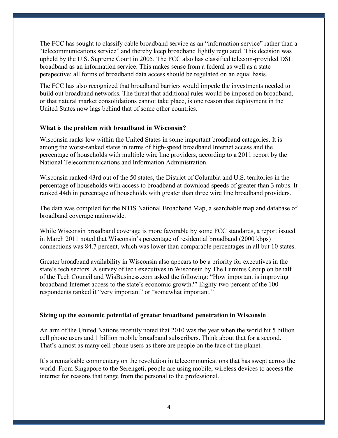The FCC has sought to classify cable broadband service as an "information service" rather than a "telecommunications service" and thereby keep broadband lightly regulated. This decision was upheld by the U.S. Supreme Court in 2005. The FCC also has classified telecom-provided DSL broadband as an information service. This makes sense from a federal as well as a state perspective; all forms of broadband data access should be regulated on an equal basis.

The FCC has also recognized that broadband barriers would impede the investments needed to build out broadband networks. The threat that additional rules would be imposed on broadband, or that natural market consolidations cannot take place, is one reason that deployment in the United States now lags behind that of some other countries.

# **What is the problem with broadband in Wisconsin?**

Wisconsin ranks low within the United States in some important broadband categories. It is among the worst-ranked states in terms of high-speed broadband Internet access and the percentage of households with multiple wire line providers, according to a 2011 report by the National Telecommunications and Information Administration.

Wisconsin ranked 43rd out of the 50 states, the District of Columbia and U.S. territories in the percentage of households with access to broadband at download speeds of greater than 3 mbps. It ranked 44th in percentage of households with greater than three wire line broadband providers.

The data was compiled for the NTIS National Broadband Map, a searchable map and database of broadband coverage nationwide.

While Wisconsin broadband coverage is more favorable by some FCC standards, a report issued in March 2011 noted that Wisconsin's percentage of residential broadband (2000 kbps) connections was 84.7 percent, which was lower than comparable percentages in all but 10 states.

Greater broadband availability in Wisconsin also appears to be a priority for executives in the state's tech sectors. A survey of tech executives in Wisconsin by The Luminis Group on behalf of the Tech Council and WisBusiness.com asked the following: "How important is improving broadband Internet access to the state's economic growth?" Eighty-two percent of the 100 respondents ranked it "very important" or "somewhat important."

### **Sizing up the economic potential of greater broadband penetration in Wisconsin**

An arm of the United Nations recently noted that 2010 was the year when the world hit 5 billion cell phone users and 1 billion mobile broadband subscribers. Think about that for a second. That's almost as many cell phone users as there are people on the face of the planet.

It's a remarkable commentary on the revolution in telecommunications that has swept across the world. From Singapore to the Serengeti, people are using mobile, wireless devices to access the internet for reasons that range from the personal to the professional.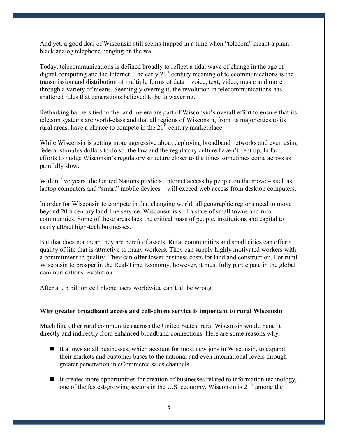And yet, a good deal of Wisconsin still seems trapped in a time when "telecom" meant a plain black analog telephone hanging on the wall.

Today, telecommunications is defined broadly to reflect a tidal wave of change in the age of digital computing and the Internet. The early  $21<sup>st</sup>$  century meaning of telecommunications is the transmission and distribution of multiple forms of data – voice, text, video, music and more – through a variety of means. Seemingly overnight, the revolution in telecommunications has shattered rules that generations believed to be unwavering.

Rethinking barriers tied to the landline era are part of Wisconsin's overall effort to ensure that its telecom systems are world-class and that all regions of Wisconsin, from its major cities to its rural areas, have a chance to compete in the  $21<sup>st</sup>$  century marketplace.

While Wisconsin is getting more aggressive about deploying broadband networks and even using federal stimulus dollars to do so, the law and the regulatory culture haven't kept up. In fact, efforts to nudge Wisconsin's regulatory structure closer to the times sometimes come across as painfully slow.

Within five years, the United Nations predicts, Internet access by people on the move – such as laptop computers and "smart" mobile devices – will exceed web access from desktop computers.

In order for Wisconsin to compete in that changing world, all geographic regions need to move beyond 20th century land-line service. Wisconsin is still a state of small towns and rural communities. Some of these areas lack the critical mass of people, institutions and capital to easily attract high-tech businesses.

But that does not mean they are bereft of assets. Rural communities and small cities can offer a quality of life that is attractive to many workers. They can supply highly motivated workers with a commitment to quality. They can offer lower business costs for land and construction. For rural Wisconsin to prosper in the Real-Time Economy, however, it must fully participate in the global communications revolution.

After all, 5 billion cell phone users worldwide can't all be wrong.

### **Why greater broadband access and cell-phone service is important to rural Wisconsin**

Much like other rural communities across the United States, rural Wisconsin would benefit directly and indirectly from enhanced broadband connections. Here are some reasons why:

- $\blacksquare$  It allows small businesses, which account for most new jobs in Wisconsin, to expand their markets and customer bases to the national and even international levels through greater penetration in eCommerce sales channels.
- $\blacksquare$  It creates more opportunities for creation of businesses related to information technology, one of the fastest-growing sectors in the U.S. economy. Wisconsin is  $21<sup>st</sup>$  among the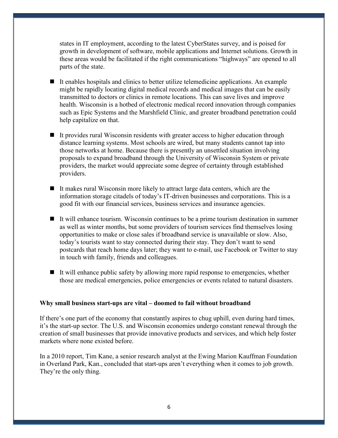states in IT employment, according to the latest CyberStates survey, and is poised for growth in development of software, mobile applications and Internet solutions. Growth in these areas would be facilitated if the right communications "highways" are opened to all parts of the state.

- It enables hospitals and clinics to better utilize telemedicine applications. An example might be rapidly locating digital medical records and medical images that can be easily transmitted to doctors or clinics in remote locations. This can save lives and improve health. Wisconsin is a hotbed of electronic medical record innovation through companies such as Epic Systems and the Marshfield Clinic, and greater broadband penetration could help capitalize on that.
- It provides rural Wisconsin residents with greater access to higher education through distance learning systems. Most schools are wired, but many students cannot tap into those networks at home. Because there is presently an unsettled situation involving proposals to expand broadband through the University of Wisconsin System or private providers, the market would appreciate some degree of certainty through established providers.
- It makes rural Wisconsin more likely to attract large data centers, which are the information storage citadels of today's IT-driven businesses and corporations. This is a good fit with our financial services, business services and insurance agencies.
- It will enhance tourism. Wisconsin continues to be a prime tourism destination in summer as well as winter months, but some providers of tourism services find themselves losing opportunities to make or close sales if broadband service is unavailable or slow. Also, today's tourists want to stay connected during their stay. They don't want to send postcards that reach home days later; they want to e-mail, use Facebook or Twitter to stay in touch with family, friends and colleagues.
- $\blacksquare$  It will enhance public safety by allowing more rapid response to emergencies, whether those are medical emergencies, police emergencies or events related to natural disasters.

### **Why small business start-ups are vital – doomed to fail without broadband**

If there's one part of the economy that constantly aspires to chug uphill, even during hard times, it's the start-up sector. The U.S. and Wisconsin economies undergo constant renewal through the creation of small businesses that provide innovative products and services, and which help foster markets where none existed before.

In a 2010 report, Tim Kane, a senior research analyst at the Ewing Marion Kauffman Foundation in Overland Park, Kan., concluded that start-ups aren't everything when it comes to job growth. They're the only thing.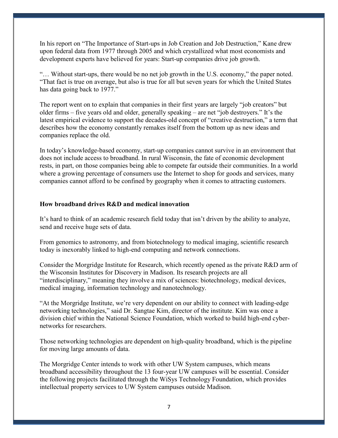In his report on "The Importance of Start-ups in Job Creation and Job Destruction," Kane drew upon federal data from 1977 through 2005 and which crystallized what most economists and development experts have believed for years: Start-up companies drive job growth.

"… Without start-ups, there would be no net job growth in the U.S. economy," the paper noted. "That fact is true on average, but also is true for all but seven years for which the United States has data going back to 1977."

The report went on to explain that companies in their first years are largely "job creators" but older firms – five years old and older, generally speaking – are net "job destroyers." It's the latest empirical evidence to support the decades-old concept of "creative destruction," a term that describes how the economy constantly remakes itself from the bottom up as new ideas and companies replace the old.

In today's knowledge-based economy, start-up companies cannot survive in an environment that does not include access to broadband. In rural Wisconsin, the fate of economic development rests, in part, on those companies being able to compete far outside their communities. In a world where a growing percentage of consumers use the Internet to shop for goods and services, many companies cannot afford to be confined by geography when it comes to attracting customers.

# **How broadband drives R&D and medical innovation**

It's hard to think of an academic research field today that isn't driven by the ability to analyze, send and receive huge sets of data.

From genomics to astronomy, and from biotechnology to medical imaging, scientific research today is inexorably linked to high-end computing and network connections.

Consider the Morgridge Institute for Research, which recently opened as the private R&D arm of the Wisconsin Institutes for Discovery in Madison. Its research projects are all "interdisciplinary," meaning they involve a mix of sciences: biotechnology, medical devices, medical imaging, information technology and nanotechnology.

"At the Morgridge Institute, we're very dependent on our ability to connect with leading-edge networking technologies," said Dr. Sangtae Kim, director of the institute. Kim was once a division chief within the National Science Foundation, which worked to build high-end cybernetworks for researchers.

Those networking technologies are dependent on high-quality broadband, which is the pipeline for moving large amounts of data.

The Morgridge Center intends to work with other UW System campuses, which means broadband accessibility throughout the 13 four-year UW campuses will be essential. Consider the following projects facilitated through the WiSys Technology Foundation, which provides intellectual property services to UW System campuses outside Madison.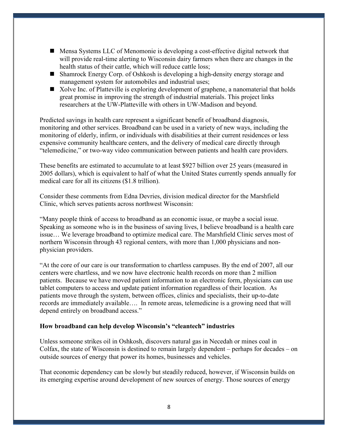- Mensa Systems LLC of Menomonie is developing a cost-effective digital network that will provide real-time alerting to Wisconsin dairy farmers when there are changes in the health status of their cattle, which will reduce cattle loss;
- Shamrock Energy Corp. of Oshkosh is developing a high-density energy storage and management system for automobiles and industrial uses;
- Xolve Inc. of Platteville is exploring development of graphene, a nanomaterial that holds great promise in improving the strength of industrial materials. This project links researchers at the UW-Platteville with others in UW-Madison and beyond.

Predicted savings in health care represent a significant benefit of broadband diagnosis, monitoring and other services. Broadband can be used in a variety of new ways, including the monitoring of elderly, infirm, or individuals with disabilities at their current residences or less expensive community healthcare centers, and the delivery of medical care directly through "telemedicine," or two-way video communication between patients and health care providers.

These benefits are estimated to accumulate to at least \$927 billion over 25 years (measured in 2005 dollars), which is equivalent to half of what the United States currently spends annually for medical care for all its citizens (\$1.8 trillion).

Consider these comments from Edna Devries, division medical director for the Marshfield Clinic, which serves patients across northwest Wisconsin:

"Many people think of access to broadband as an economic issue, or maybe a social issue. Speaking as someone who is in the business of saving lives, I believe broadband is a health care issue… We leverage broadband to optimize medical care. The Marshfield Clinic serves most of northern Wisconsin through 43 regional centers, with more than 1,000 physicians and nonphysician providers.

"At the core of our care is our transformation to chartless campuses. By the end of 2007, all our centers were chartless, and we now have electronic health records on more than 2 million patients. Because we have moved patient information to an electronic form, physicians can use tablet computers to access and update patient information regardless of their location. As patients move through the system, between offices, clinics and specialists, their up-to-date records are immediately available…. In remote areas, telemedicine is a growing need that will depend entirely on broadband access."

### **How broadband can help develop Wisconsin's "cleantech" industries**

Unless someone strikes oil in Oshkosh, discovers natural gas in Necedah or mines coal in Colfax, the state of Wisconsin is destined to remain largely dependent – perhaps for decades – on outside sources of energy that power its homes, businesses and vehicles.

That economic dependency can be slowly but steadily reduced, however, if Wisconsin builds on its emerging expertise around development of new sources of energy. Those sources of energy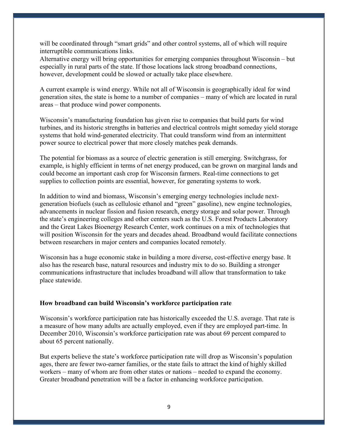will be coordinated through "smart grids" and other control systems, all of which will require interruptible communications links.

Alternative energy will bring opportunities for emerging companies throughout Wisconsin – but especially in rural parts of the state. If those locations lack strong broadband connections, however, development could be slowed or actually take place elsewhere.

A current example is wind energy. While not all of Wisconsin is geographically ideal for wind generation sites, the state is home to a number of companies – many of which are located in rural areas – that produce wind power components.

Wisconsin's manufacturing foundation has given rise to companies that build parts for wind turbines, and its historic strengths in batteries and electrical controls might someday yield storage systems that hold wind-generated electricity. That could transform wind from an intermittent power source to electrical power that more closely matches peak demands.

The potential for biomass as a source of electric generation is still emerging. Switchgrass, for example, is highly efficient in terms of net energy produced, can be grown on marginal lands and could become an important cash crop for Wisconsin farmers. Real-time connections to get supplies to collection points are essential, however, for generating systems to work.

In addition to wind and biomass, Wisconsin's emerging energy technologies include nextgeneration biofuels (such as cellulosic ethanol and "green" gasoline), new engine technologies, advancements in nuclear fission and fusion research, energy storage and solar power. Through the state's engineering colleges and other centers such as the U.S. Forest Products Laboratory and the Great Lakes Bioenergy Research Center, work continues on a mix of technologies that will position Wisconsin for the years and decades ahead. Broadband would facilitate connections between researchers in major centers and companies located remotely.

Wisconsin has a huge economic stake in building a more diverse, cost-effective energy base. It also has the research base, natural resources and industry mix to do so. Building a stronger communications infrastructure that includes broadband will allow that transformation to take place statewide.

### **How broadband can build Wisconsin's workforce participation rate**

Wisconsin's workforce participation rate has historically exceeded the U.S. average. That rate is a measure of how many adults are actually employed, even if they are employed part-time. In December 2010, Wisconsin's workforce participation rate was about 69 percent compared to about 65 percent nationally.

But experts believe the state's workforce participation rate will drop as Wisconsin's population ages, there are fewer two-earner families, or the state fails to attract the kind of highly skilled workers – many of whom are from other states or nations – needed to expand the economy. Greater broadband penetration will be a factor in enhancing workforce participation.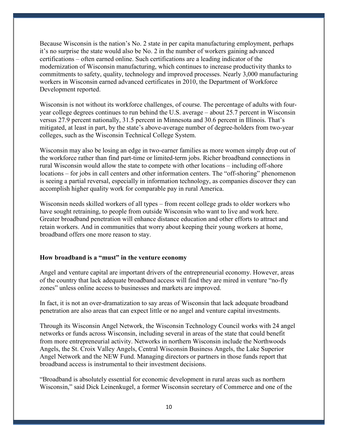Because Wisconsin is the nation's No. 2 state in per capita manufacturing employment, perhaps it's no surprise the state would also be No. 2 in the number of workers gaining advanced certifications – often earned online. Such certifications are a leading indicator of the modernization of Wisconsin manufacturing, which continues to increase productivity thanks to commitments to safety, quality, technology and improved processes. Nearly 3,000 manufacturing workers in Wisconsin earned advanced certificates in 2010, the Department of Workforce Development reported.

Wisconsin is not without its workforce challenges, of course. The percentage of adults with fouryear college degrees continues to run behind the U.S. average – about 25.7 percent in Wisconsin versus 27.9 percent nationally, 31.5 percent in Minnesota and 30.6 percent in Illinois. That's mitigated, at least in part, by the state's above-average number of degree-holders from two-year colleges, such as the Wisconsin Technical College System.

Wisconsin may also be losing an edge in two-earner families as more women simply drop out of the workforce rather than find part-time or limited-term jobs. Richer broadband connections in rural Wisconsin would allow the state to compete with other locations – including off-shore locations – for jobs in call centers and other information centers. The "off-shoring" phenomenon is seeing a partial reversal, especially in information technology, as companies discover they can accomplish higher quality work for comparable pay in rural America.

Wisconsin needs skilled workers of all types – from recent college grads to older workers who have sought retraining, to people from outside Wisconsin who want to live and work here. Greater broadband penetration will enhance distance education and other efforts to attract and retain workers. And in communities that worry about keeping their young workers at home, broadband offers one more reason to stay.

### **How broadband is a "must" in the venture economy**

Angel and venture capital are important drivers of the entrepreneurial economy. However, areas of the country that lack adequate broadband access will find they are mired in venture "no-fly zones" unless online access to businesses and markets are improved.

In fact, it is not an over-dramatization to say areas of Wisconsin that lack adequate broadband penetration are also areas that can expect little or no angel and venture capital investments.

Through its Wisconsin Angel Network, the Wisconsin Technology Council works with 24 angel networks or funds across Wisconsin, including several in areas of the state that could benefit from more entrepreneurial activity. Networks in northern Wisconsin include the Northwoods Angels, the St. Croix Valley Angels, Central Wisconsin Business Angels, the Lake Superior Angel Network and the NEW Fund. Managing directors or partners in those funds report that broadband access is instrumental to their investment decisions.

"Broadband is absolutely essential for economic development in rural areas such as northern Wisconsin," said Dick Leinenkugel, a former Wisconsin secretary of Commerce and one of the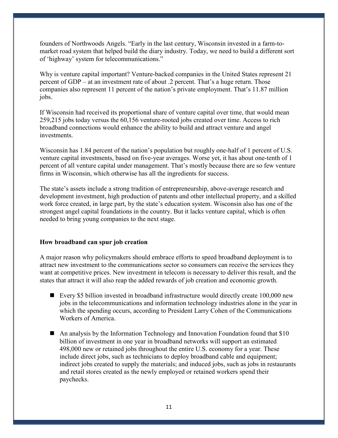founders of Northwoods Angels. "Early in the last century, Wisconsin invested in a farm-tomarket road system that helped build the diary industry. Today, we need to build a different sort of 'highway' system for telecommunications."

Why is venture capital important? Venture-backed companies in the United States represent 21 percent of GDP – at an investment rate of about .2 percent. That's a huge return. Those companies also represent 11 percent of the nation's private employment. That's 11.87 million jobs.

If Wisconsin had received its proportional share of venture capital over time, that would mean 259,215 jobs today versus the 60,156 venture-rooted jobs created over time. Access to rich broadband connections would enhance the ability to build and attract venture and angel investments.

Wisconsin has 1.84 percent of the nation's population but roughly one-half of 1 percent of U.S. venture capital investments, based on five-year averages. Worse yet, it has about one-tenth of 1 percent of all venture capital under management. That's mostly because there are so few venture firms in Wisconsin, which otherwise has all the ingredients for success.

The state's assets include a strong tradition of entrepreneurship, above-average research and development investment, high production of patents and other intellectual property, and a skilled work force created, in large part, by the state's education system. Wisconsin also has one of the strongest angel capital foundations in the country. But it lacks venture capital, which is often needed to bring young companies to the next stage.

### **How broadband can spur job creation**

A major reason why policymakers should embrace efforts to speed broadband deployment is to attract new investment to the communications sector so consumers can receive the services they want at competitive prices. New investment in telecom is necessary to deliver this result, and the states that attract it will also reap the added rewards of job creation and economic growth.

- Every \$5 billion invested in broadband infrastructure would directly create 100,000 new jobs in the telecommunications and information technology industries alone in the year in which the spending occurs, according to President Larry Cohen of the Communications Workers of America.
- An analysis by the Information Technology and Innovation Foundation found that \$10 billion of investment in one year in broadband networks will support an estimated 498,000 new or retained jobs throughout the entire U.S. economy for a year. These include direct jobs, such as technicians to deploy broadband cable and equipment; indirect jobs created to supply the materials; and induced jobs, such as jobs in restaurants and retail stores created as the newly employed or retained workers spend their paychecks.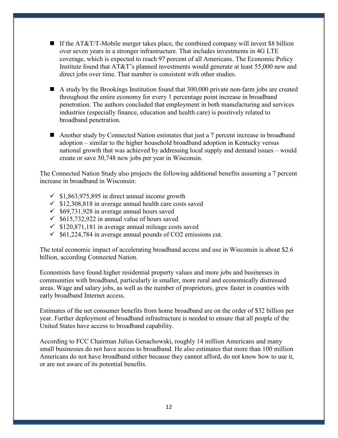- If the AT&T/T-Mobile merger takes place, the combined company will invest \$8 billion over seven years in a stronger infrastructure. That includes investments in 4G LTE coverage, which is expected to reach 97 percent of all Americans. The Economic Policy Institute found that AT&T's planned investments would generate at least 55,000 new and direct jobs over time. That number is consistent with other studies.
- A study by the Brookings Institution found that 300,000 private non-farm jobs are created throughout the entire economy for every 1 percentage point increase in broadband penetration. The authors concluded that employment in both manufacturing and services industries (especially finance, education and health care) is positively related to broadband penetration.
- Another study by Connected Nation estimates that just a 7 percent increase in broadband adoption – similar to the higher household broadband adoption in Kentucky versus national growth that was achieved by addressing local supply and demand issues – would create or save 50,748 new jobs per year in Wisconsin.

The Connected Nation Study also projects the following additional benefits assuming a 7 percent increase in broadband in Wisconsin:

- $\checkmark$  \$1,863,975,895 in direct annual income growth
- $\checkmark$  \$12,308,818 in average annual health care costs saved
- $\checkmark$  \$69,731,928 in average annual hours saved
- $\checkmark$  \$615,732,922 in annual value of hours saved
- $\checkmark$  \$120,871,181 in average annual mileage costs saved
- $\checkmark$  \$61,224,784 in average annual pounds of CO2 emissions cut.

The total economic impact of accelerating broadband access and use in Wisconsin is about \$2.6 billion, according Connected Nation.

Economists have found higher residential property values and more jobs and businesses in communities with broadband, particularly in smaller, more rural and economically distressed areas. Wage and salary jobs, as well as the number of proprietors, grew faster in counties with early broadband Internet access.

Estimates of the net consumer benefits from home broadband are on the order of \$32 billion per year. Further deployment of broadband infrastructure is needed to ensure that all people of the United States have access to broadband capability.

According to FCC Chairman Julius Genachowski, roughly 14 million Americans and many small businesses do not have access to broadband. He also estimates that more than 100 million Americans do not have broadband either because they cannot afford, do not know how to use it, or are not aware of its potential benefits.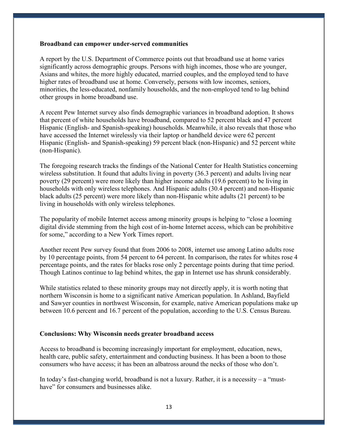#### **Broadband can empower under-served communities**

A report by the U.S. Department of Commerce points out that broadband use at home varies significantly across demographic groups. Persons with high incomes, those who are younger, Asians and whites, the more highly educated, married couples, and the employed tend to have higher rates of broadband use at home. Conversely, persons with low incomes, seniors, minorities, the less-educated, nonfamily households, and the non-employed tend to lag behind other groups in home broadband use.

A recent Pew Internet survey also finds demographic variances in broadband adoption. It shows that percent of white households have broadband, compared to 52 percent black and 47 percent Hispanic (English- and Spanish-speaking) households. Meanwhile, it also reveals that those who have accessed the Internet wirelessly via their laptop or handheld device were 62 percent Hispanic (English- and Spanish-speaking) 59 percent black (non-Hispanic) and 52 percent white (non-Hispanic).

The foregoing research tracks the findings of the National Center for Health Statistics concerning wireless substitution. It found that adults living in poverty (36.3 percent) and adults living near poverty (29 percent) were more likely than higher income adults (19.6 percent) to be living in households with only wireless telephones. And Hispanic adults (30.4 percent) and non-Hispanic black adults (25 percent) were more likely than non-Hispanic white adults (21 percent) to be living in households with only wireless telephones.

The popularity of mobile Internet access among minority groups is helping to "close a looming digital divide stemming from the high cost of in-home Internet access, which can be prohibitive for some," according to a New York Times report.

Another recent Pew survey found that from 2006 to 2008, internet use among Latino adults rose by 10 percentage points, from 54 percent to 64 percent. In comparison, the rates for whites rose 4 percentage points, and the rates for blacks rose only 2 percentage points during that time period. Though Latinos continue to lag behind whites, the gap in Internet use has shrunk considerably.

While statistics related to these minority groups may not directly apply, it is worth noting that northern Wisconsin is home to a significant native American population. In Ashland, Bayfield and Sawyer counties in northwest Wisconsin, for example, native American populations make up between 10.6 percent and 16.7 percent of the population, according to the U.S. Census Bureau.

#### **Conclusions: Why Wisconsin needs greater broadband access**

Access to broadband is becoming increasingly important for employment, education, news, health care, public safety, entertainment and conducting business. It has been a boon to those consumers who have access; it has been an albatross around the necks of those who don't.

In today's fast-changing world, broadband is not a luxury. Rather, it is a necessity – a "musthave" for consumers and businesses alike.